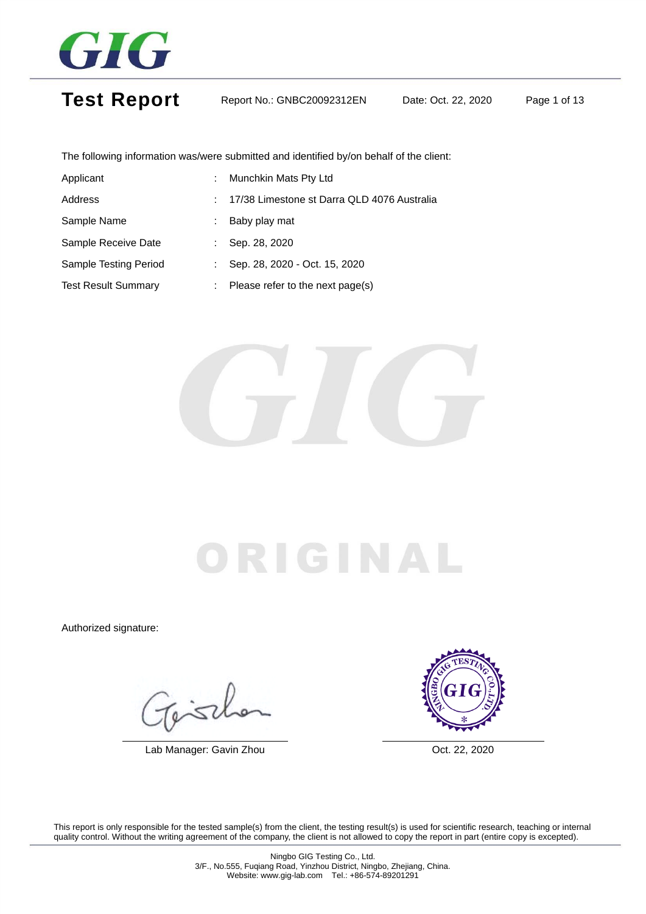

Test Report Report No.: GNBC20092312EN Date: Oct. 22, 2020 Page 1 of 13

The following information was/were submitted and identified by/on behalf of the client:

| Applicant                    | ÷. | Munchkin Mats Pty Ltd                       |
|------------------------------|----|---------------------------------------------|
| Address                      |    | 17/38 Limestone st Darra QLD 4076 Australia |
| Sample Name                  | ÷  | Baby play mat                               |
| Sample Receive Date          | ÷  | Sep. 28, 2020                               |
| <b>Sample Testing Period</b> | ÷  | Sep. 28, 2020 - Oct. 15, 2020               |
| <b>Test Result Summary</b>   | ÷. | Please refer to the next page(s)            |



## RIGINA

Authorized signature:

Gisch

Lab Manager: Gavin Zhou **Canada Access 1986** Oct. 22, 2020

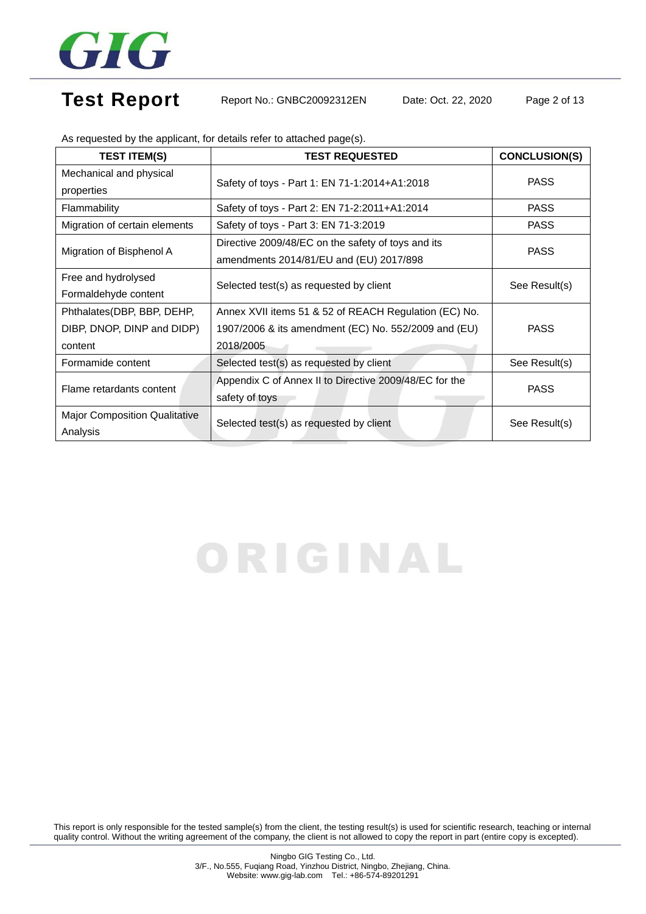

## Test Report Report No.: GNBC20092312EN Date: Oct. 22, 2020 Page 2 of 13

| <b>TEST ITEM(S)</b>                  | <b>TEST REQUESTED</b>                                  | <b>CONCLUSION(S)</b> |  |
|--------------------------------------|--------------------------------------------------------|----------------------|--|
| Mechanical and physical              |                                                        | <b>PASS</b>          |  |
| properties                           | Safety of toys - Part 1: EN 71-1:2014+A1:2018          |                      |  |
| Flammability                         | Safety of toys - Part 2: EN 71-2:2011+A1:2014          | <b>PASS</b>          |  |
| Migration of certain elements        | Safety of toys - Part 3: EN 71-3:2019                  | <b>PASS</b>          |  |
|                                      | Directive 2009/48/EC on the safety of toys and its     |                      |  |
| Migration of Bisphenol A             | amendments 2014/81/EU and (EU) 2017/898                | <b>PASS</b>          |  |
| Free and hydrolysed                  | Selected test(s) as requested by client                | See Result(s)        |  |
| Formaldehyde content                 |                                                        |                      |  |
| Phthalates(DBP, BBP, DEHP,           | Annex XVII items 51 & 52 of REACH Regulation (EC) No.  |                      |  |
| DIBP, DNOP, DINP and DIDP)           | 1907/2006 & its amendment (EC) No. 552/2009 and (EU)   | <b>PASS</b>          |  |
| content                              | 2018/2005                                              |                      |  |
| Formamide content                    | Selected test(s) as requested by client                | See Result(s)        |  |
| Flame retardants content             | Appendix C of Annex II to Directive 2009/48/EC for the | <b>PASS</b>          |  |
|                                      | safety of toys                                         |                      |  |
| <b>Major Composition Qualitative</b> | Selected test(s) as requested by client                |                      |  |
| Analysis                             |                                                        | See Result(s)        |  |

As requested by the applicant, for details refer to attached page(s).

# ORIGINAL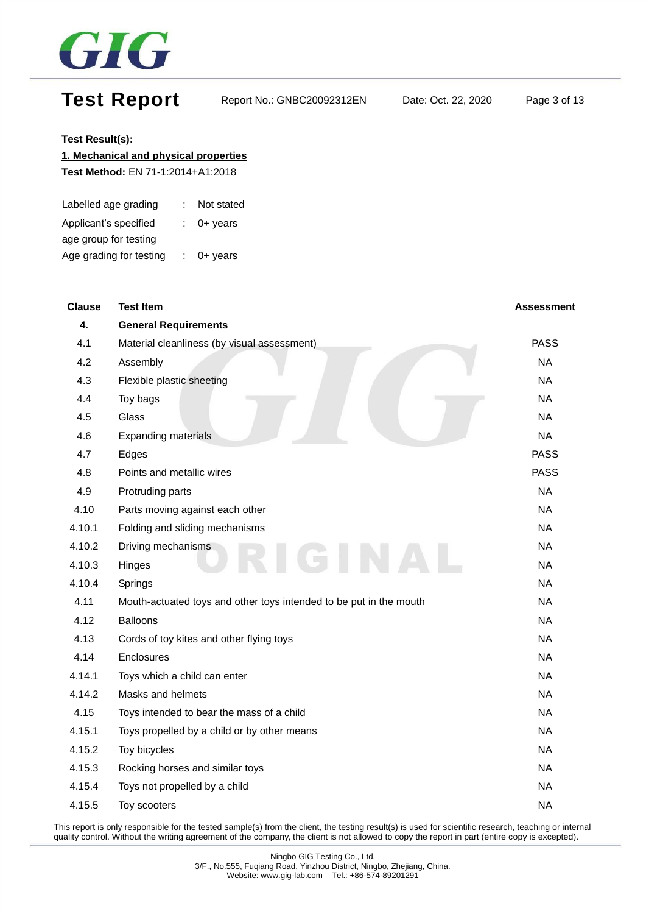

## Test Report Report No.: GNBC20092312EN Date: Oct. 22, 2020 Page 3 of 13

#### **Test Result(s):**

#### **1. Mechanical and physical properties**

**Test Method:** EN 71-1:2014+A1:2018

| Labelled age grading    | Not stated            |
|-------------------------|-----------------------|
| Applicant's specified   | $\therefore$ 0+ years |
| age group for testing   |                       |
| Age grading for testing | $0+$ years            |

| <b>Clause</b> | <b>Test Item</b>                                                   | Assessment  |
|---------------|--------------------------------------------------------------------|-------------|
| 4.            | <b>General Requirements</b>                                        |             |
| 4.1           | Material cleanliness (by visual assessment)                        | <b>PASS</b> |
| 4.2           | Assembly                                                           | <b>NA</b>   |
| 4.3           | Flexible plastic sheeting                                          | <b>NA</b>   |
| 4.4           | Toy bags                                                           | <b>NA</b>   |
| 4.5           | Glass                                                              | <b>NA</b>   |
| 4.6           | <b>Expanding materials</b>                                         | <b>NA</b>   |
| 4.7           | Edges                                                              | <b>PASS</b> |
| 4.8           | Points and metallic wires                                          | <b>PASS</b> |
| 4.9           | Protruding parts                                                   | <b>NA</b>   |
| 4.10          | Parts moving against each other                                    | <b>NA</b>   |
| 4.10.1        | Folding and sliding mechanisms                                     | <b>NA</b>   |
| 4.10.2        | Driving mechanisms                                                 | <b>NA</b>   |
| 4.10.3        | Hinges                                                             | <b>NA</b>   |
| 4.10.4        | Springs                                                            | <b>NA</b>   |
| 4.11          | Mouth-actuated toys and other toys intended to be put in the mouth | <b>NA</b>   |
| 4.12          | <b>Balloons</b>                                                    | <b>NA</b>   |
| 4.13          | Cords of toy kites and other flying toys                           | <b>NA</b>   |
| 4.14          | Enclosures                                                         | <b>NA</b>   |
| 4.14.1        | Toys which a child can enter                                       | <b>NA</b>   |
| 4.14.2        | Masks and helmets                                                  | <b>NA</b>   |
| 4.15          | Toys intended to bear the mass of a child                          | <b>NA</b>   |
| 4.15.1        | Toys propelled by a child or by other means                        | <b>NA</b>   |
| 4.15.2        | Toy bicycles                                                       | <b>NA</b>   |
| 4.15.3        | Rocking horses and similar toys                                    | <b>NA</b>   |
| 4.15.4        | Toys not propelled by a child                                      | <b>NA</b>   |
| 4.15.5        | Toy scooters                                                       | <b>NA</b>   |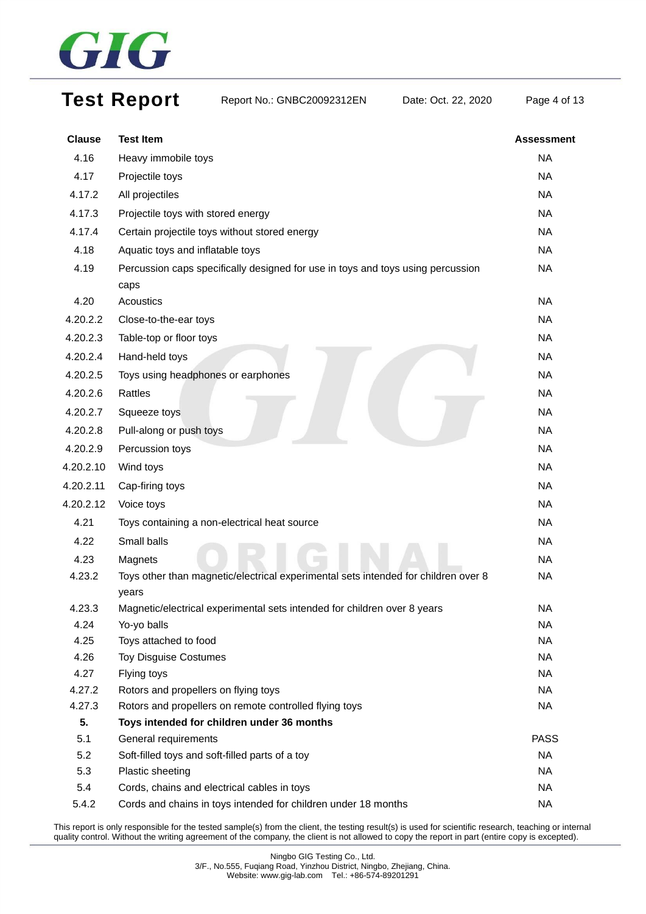

## Test Report Report No.: GNBC20092312EN Date: Oct. 22, 2020 Page 4 of 13

| <b>Clause</b>    | <b>Test Item</b>                                                                                     | <b>Assessment</b>      |
|------------------|------------------------------------------------------------------------------------------------------|------------------------|
| 4.16             | Heavy immobile toys                                                                                  | <b>NA</b>              |
| 4.17             | Projectile toys                                                                                      | <b>NA</b>              |
| 4.17.2           | All projectiles                                                                                      | <b>NA</b>              |
| 4.17.3           | Projectile toys with stored energy                                                                   | <b>NA</b>              |
| 4.17.4           | Certain projectile toys without stored energy                                                        | <b>NA</b>              |
| 4.18             | Aquatic toys and inflatable toys                                                                     | <b>NA</b>              |
| 4.19             | Percussion caps specifically designed for use in toys and toys using percussion                      | <b>NA</b>              |
|                  | caps                                                                                                 |                        |
| 4.20             | Acoustics                                                                                            | <b>NA</b>              |
| 4.20.2.2         | Close-to-the-ear toys                                                                                | <b>NA</b>              |
| 4.20.2.3         | Table-top or floor toys                                                                              | <b>NA</b>              |
| 4.20.2.4         | Hand-held toys                                                                                       | <b>NA</b>              |
| 4.20.2.5         | Toys using headphones or earphones                                                                   | <b>NA</b>              |
| 4.20.2.6         | Rattles                                                                                              | <b>NA</b>              |
| 4.20.2.7         | Squeeze toys                                                                                         | <b>NA</b>              |
| 4.20.2.8         | Pull-along or push toys                                                                              | <b>NA</b>              |
| 4.20.2.9         | Percussion toys                                                                                      | <b>NA</b>              |
| 4.20.2.10        | Wind toys                                                                                            | <b>NA</b>              |
| 4.20.2.11        | Cap-firing toys                                                                                      | <b>NA</b>              |
| 4.20.2.12        | Voice toys                                                                                           | <b>NA</b>              |
| 4.21             | Toys containing a non-electrical heat source                                                         | <b>NA</b>              |
| 4.22             | Small balls                                                                                          | <b>NA</b>              |
| 4.23             | Magnets                                                                                              | <b>NA</b>              |
| 4.23.2           | Toys other than magnetic/electrical experimental sets intended for children over 8                   | <b>NA</b>              |
|                  | years                                                                                                |                        |
| 4.23.3           | Magnetic/electrical experimental sets intended for children over 8 years                             | <b>NA</b>              |
| 4.24             | Yo-yo balls                                                                                          | <b>NA</b>              |
| 4.25             | Toys attached to food                                                                                | <b>NA</b>              |
| 4.26             | <b>Toy Disguise Costumes</b>                                                                         | <b>NA</b>              |
| 4.27             | Flying toys                                                                                          | <b>NA</b>              |
| 4.27.2<br>4.27.3 | Rotors and propellers on flying toys                                                                 | <b>NA</b><br><b>NA</b> |
| 5.               | Rotors and propellers on remote controlled flying toys<br>Toys intended for children under 36 months |                        |
| 5.1              | General requirements                                                                                 | <b>PASS</b>            |
| 5.2              | Soft-filled toys and soft-filled parts of a toy                                                      | <b>NA</b>              |
| 5.3              | Plastic sheeting                                                                                     | <b>NA</b>              |
| 5.4              | Cords, chains and electrical cables in toys                                                          | <b>NA</b>              |
| 5.4.2            | Cords and chains in toys intended for children under 18 months                                       | <b>NA</b>              |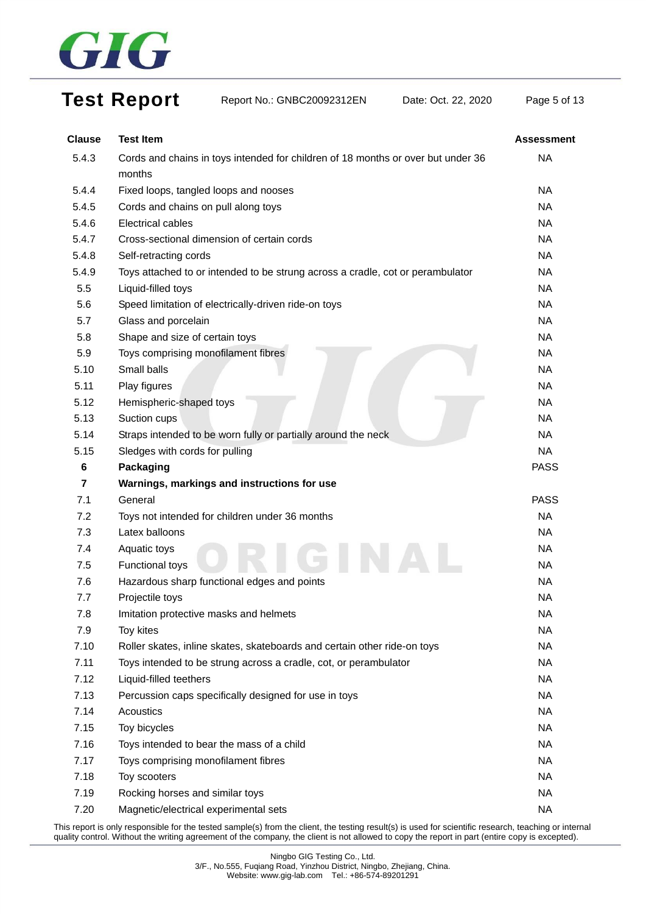

## Test Report Report No.: GNBC20092312EN Date: Oct. 22, 2020 Page 5 of 13

| <b>Clause</b> | <b>Test Item</b>                                                                 | <b>Assessment</b> |
|---------------|----------------------------------------------------------------------------------|-------------------|
| 5.4.3         | Cords and chains in toys intended for children of 18 months or over but under 36 | <b>NA</b>         |
|               | months                                                                           |                   |
| 5.4.4         | Fixed loops, tangled loops and nooses                                            | <b>NA</b>         |
| 5.4.5         | Cords and chains on pull along toys                                              | <b>NA</b>         |
| 5.4.6         | Electrical cables                                                                | <b>NA</b>         |
| 5.4.7         | Cross-sectional dimension of certain cords                                       | <b>NA</b>         |
| 5.4.8         | Self-retracting cords                                                            | <b>NA</b>         |
| 5.4.9         | Toys attached to or intended to be strung across a cradle, cot or perambulator   | <b>NA</b>         |
| 5.5           | Liquid-filled toys                                                               | <b>NA</b>         |
| 5.6           | Speed limitation of electrically-driven ride-on toys                             | <b>NA</b>         |
| 5.7           | Glass and porcelain                                                              | <b>NA</b>         |
| 5.8           | Shape and size of certain toys                                                   | <b>NA</b>         |
| 5.9           | Toys comprising monofilament fibres                                              | <b>NA</b>         |
| 5.10          | Small balls                                                                      | <b>NA</b>         |
| 5.11          | Play figures                                                                     | <b>NA</b>         |
| 5.12          | Hemispheric-shaped toys                                                          | <b>NA</b>         |
| 5.13          | Suction cups                                                                     | <b>NA</b>         |
| 5.14          | Straps intended to be worn fully or partially around the neck                    | <b>NA</b>         |
| 5.15          | Sledges with cords for pulling                                                   | <b>NA</b>         |
| 6             | <b>Packaging</b>                                                                 | <b>PASS</b>       |
| 7             | Warnings, markings and instructions for use                                      |                   |
| 7.1           | General                                                                          | <b>PASS</b>       |
| 7.2           | Toys not intended for children under 36 months                                   | <b>NA</b>         |
| 7.3           | Latex balloons                                                                   | <b>NA</b>         |
| 7.4           | Aquatic toys                                                                     | <b>NA</b>         |
| 7.5           | Functional toys                                                                  | <b>NA</b>         |
| 7.6           | Hazardous sharp functional edges and points                                      | <b>NA</b>         |
| 7.7           | Projectile toys                                                                  | <b>NA</b>         |
| 7.8           | Imitation protective masks and helmets                                           | <b>NA</b>         |
| 7.9           | Toy kites                                                                        | <b>NA</b>         |
| 7.10          | Roller skates, inline skates, skateboards and certain other ride-on toys         | <b>NA</b>         |
| 7.11          | Toys intended to be strung across a cradle, cot, or perambulator                 | <b>NA</b>         |
| 7.12          | Liquid-filled teethers                                                           | <b>NA</b>         |
| 7.13          | Percussion caps specifically designed for use in toys                            | <b>NA</b>         |
| 7.14          | Acoustics                                                                        | <b>NA</b>         |
| 7.15          | Toy bicycles                                                                     | <b>NA</b>         |
| 7.16          | Toys intended to bear the mass of a child                                        | <b>NA</b>         |
| 7.17          | Toys comprising monofilament fibres                                              | <b>NA</b>         |
| 7.18          | Toy scooters                                                                     | <b>NA</b>         |
| 7.19          | Rocking horses and similar toys                                                  | <b>NA</b>         |
| 7.20          | Magnetic/electrical experimental sets                                            | <b>NA</b>         |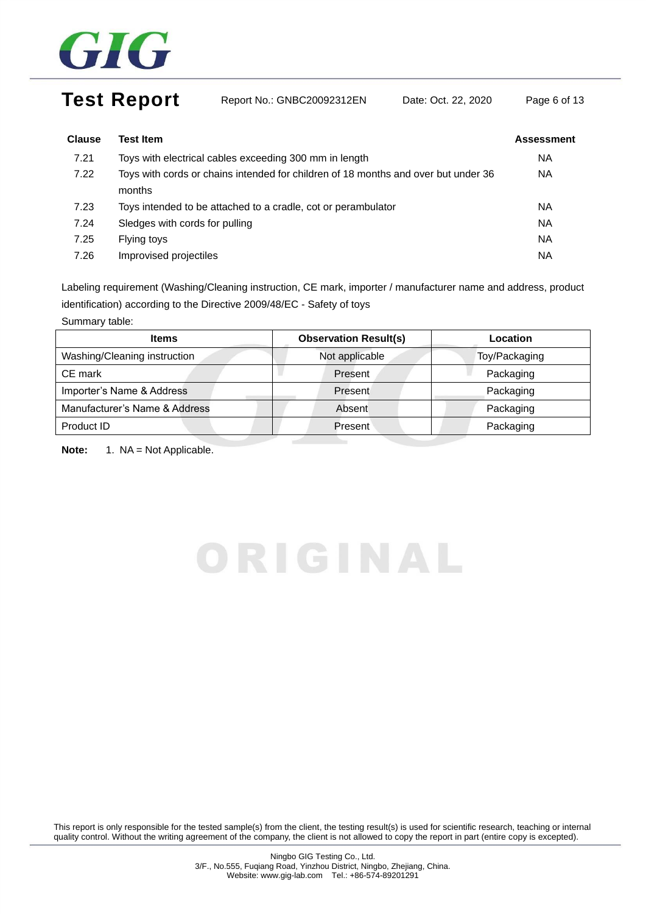

## Test Report Report No.: GNBC20092312EN Date: Oct. 22, 2020 Page 6 of 13

| <b>Clause</b> | Test Item                                                                                    | <b>Assessment</b> |
|---------------|----------------------------------------------------------------------------------------------|-------------------|
| 7.21          | Toys with electrical cables exceeding 300 mm in length                                       | NA.               |
| 7.22          | Toys with cords or chains intended for children of 18 months and over but under 36<br>months | <b>NA</b>         |
| 7.23          | Toys intended to be attached to a cradle, cot or perambulator                                | NA.               |
| 7.24          | Sledges with cords for pulling                                                               | <b>NA</b>         |
| 7.25          | Flying toys                                                                                  | <b>NA</b>         |
| 7.26          | Improvised projectiles                                                                       | ΝA                |

Labeling requirement (Washing/Cleaning instruction, CE mark, importer / manufacturer name and address, product identification) according to the Directive 2009/48/EC - Safety of toys

Summary table:

| <b>Items</b>                  | <b>Observation Result(s)</b> | Location      |  |
|-------------------------------|------------------------------|---------------|--|
| Washing/Cleaning instruction  | Not applicable               | Toy/Packaging |  |
| CE mark                       | Present                      | Packaging     |  |
| Importer's Name & Address     | Present                      | Packaging     |  |
| Manufacturer's Name & Address | Absent                       | Packaging     |  |
| Product ID                    | <b>Present</b>               | Packaging     |  |

Note: 1. NA = Not Applicable.

# ORIGINAL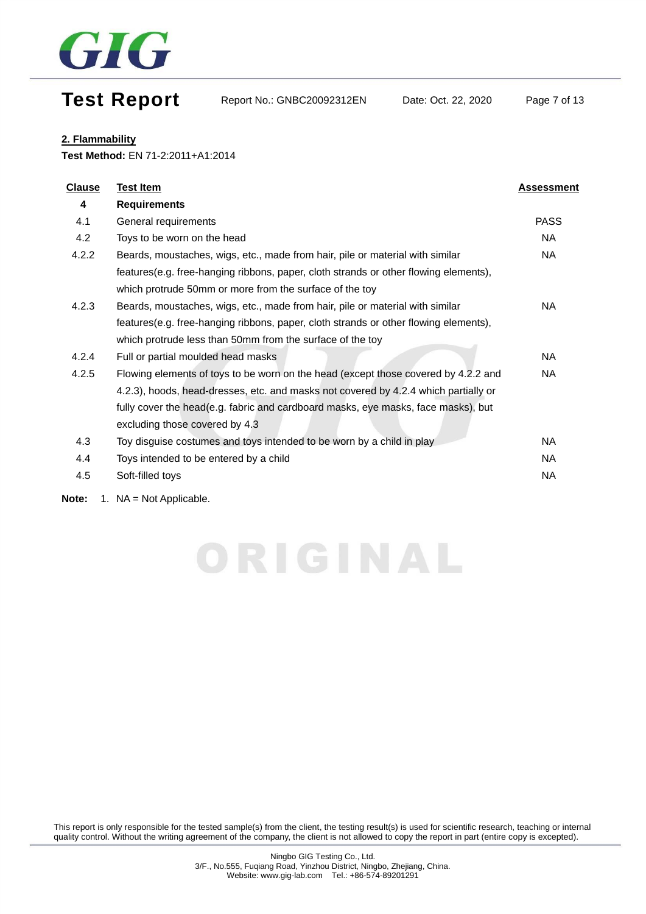

## Test Report Report No.: GNBC20092312EN Date: Oct. 22, 2020 Page 7 of 13

#### **2. Flammability**

**Test Method:** EN 71-2:2011+A1:2014

| <b>Clause</b> | <b>Test Item</b>                                                                     | Assessment  |
|---------------|--------------------------------------------------------------------------------------|-------------|
| 4             | <b>Requirements</b>                                                                  |             |
| 4.1           | General requirements                                                                 | <b>PASS</b> |
| 4.2           | Toys to be worn on the head                                                          | NA          |
| 4.2.2         | Beards, moustaches, wigs, etc., made from hair, pile or material with similar        | NA          |
|               | features(e.g. free-hanging ribbons, paper, cloth strands or other flowing elements), |             |
|               | which protrude 50mm or more from the surface of the toy                              |             |
| 4.2.3         | Beards, moustaches, wigs, etc., made from hair, pile or material with similar        | NA.         |
|               | features(e.g. free-hanging ribbons, paper, cloth strands or other flowing elements), |             |
|               | which protrude less than 50mm from the surface of the toy                            |             |
| 4.2.4         | Full or partial moulded head masks                                                   | NA          |
| 4.2.5         | Flowing elements of toys to be worn on the head (except those covered by 4.2.2 and   | NA          |
|               | 4.2.3), hoods, head-dresses, etc. and masks not covered by 4.2.4 which partially or  |             |
|               | fully cover the head(e.g. fabric and cardboard masks, eye masks, face masks), but    |             |
|               | excluding those covered by 4.3                                                       |             |
| 4.3           | Toy disguise costumes and toys intended to be worn by a child in play                | NA          |
| 4.4           | Toys intended to be entered by a child                                               | NA          |
| 4.5           | Soft-filled toys                                                                     | NA          |
|               | 4 NIA NIALAARIAARIA                                                                  |             |

ORIGINAL

**Note:** 1. NA = Not Applicable.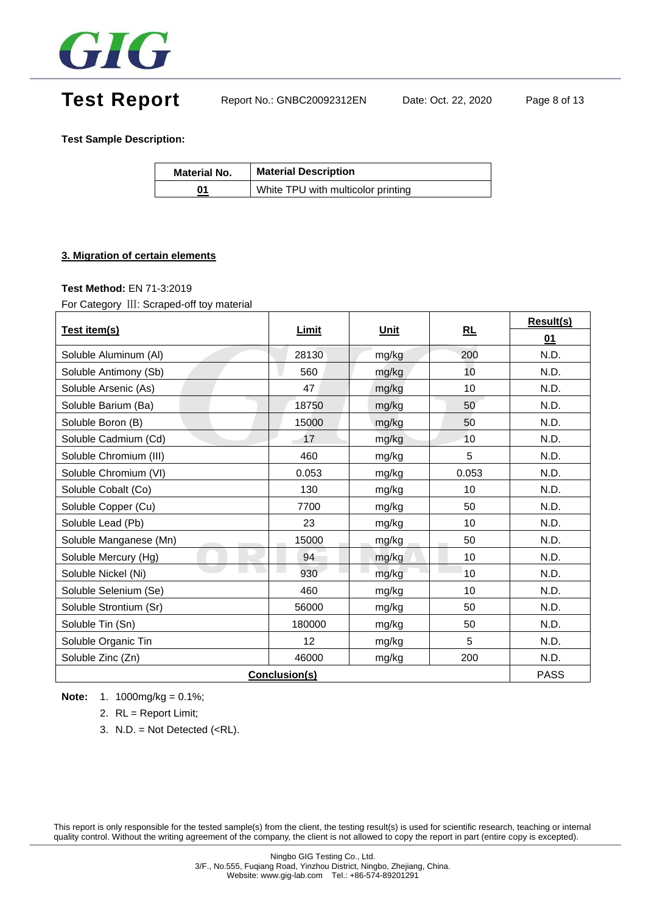

Test Report Report No.: GNBC20092312EN Date: Oct. 22, 2020 Page 8 of 13

**Test Sample Description:**

| <b>Material No.</b> | <b>Material Description</b>        |  |
|---------------------|------------------------------------|--|
| 01                  | White TPU with multicolor printing |  |

#### **3. Migration of certain elements**

#### **Test Method:** EN 71-3:2019

For Category Ⅲ: Scraped-off toy material

|                        |               |       |       | <b>Result(s)</b> |
|------------------------|---------------|-------|-------|------------------|
| Test item(s)           | Limit         | Unit  | RL    | 01               |
| Soluble Aluminum (AI)  | 28130         | mg/kg | 200   | N.D.             |
| Soluble Antimony (Sb)  | 560           | mg/kg | 10    | N.D.             |
| Soluble Arsenic (As)   | 47            | mg/kg | 10    | N.D.             |
| Soluble Barium (Ba)    | 18750         | mg/kg | 50    | N.D.             |
| Soluble Boron (B)      | 15000         | mg/kg | 50    | N.D.             |
| Soluble Cadmium (Cd)   | 17            | mg/kg | 10    | N.D.             |
| Soluble Chromium (III) | 460           | mg/kg | 5     | N.D.             |
| Soluble Chromium (VI)  | 0.053         | mg/kg | 0.053 | N.D.             |
| Soluble Cobalt (Co)    | 130           | mg/kg | 10    | N.D.             |
| Soluble Copper (Cu)    | 7700          | mg/kg | 50    | N.D.             |
| Soluble Lead (Pb)      | 23            | mg/kg | 10    | N.D.             |
| Soluble Manganese (Mn) | 15000         | mg/kg | 50    | N.D.             |
| Soluble Mercury (Hg)   | 94            | mg/kg | 10    | N.D.             |
| Soluble Nickel (Ni)    | 930           | mg/kg | 10    | N.D.             |
| Soluble Selenium (Se)  | 460           | mg/kg | 10    | N.D.             |
| Soluble Strontium (Sr) | 56000         | mg/kg | 50    | N.D.             |
| Soluble Tin (Sn)       | 180000        | mg/kg | 50    | N.D.             |
| Soluble Organic Tin    | 12            | mg/kg | 5     | N.D.             |
| Soluble Zinc (Zn)      | 46000         | mg/kg | 200   | N.D.             |
|                        | Conclusion(s) |       |       | <b>PASS</b>      |

**Note:** 1. 1000mg/kg = 0.1%;

- 2. RL = Report Limit;
- 3. N.D. = Not Detected  $(**RL**)$ .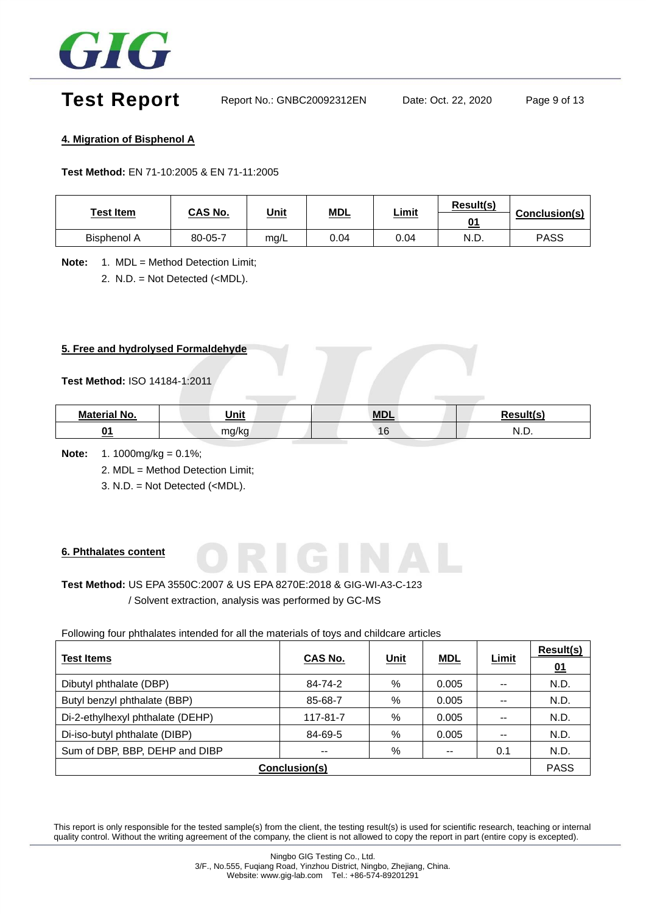

## Test Report Report No.: GNBC20092312EN Date: Oct. 22, 2020 Page 9 of 13

#### **4. Migration of Bisphenol A**

**Test Method:** EN 71-10:2005 & EN 71-11:2005

| Test Item          | CAS No. | <u>Unit</u> | <u>MDL</u> | <u>Limit</u> | Result(s)<br>01 | Conclusion(s) |
|--------------------|---------|-------------|------------|--------------|-----------------|---------------|
| <b>Bisphenol A</b> | 80-05-7 | mg/L        | 0.04       | 0.04         | N.D.            | <b>PASS</b>   |

**Note:** 1. MDL = Method Detection Limit; 2. N.D. = Not Detected (<MDL).

#### **5. Free and hydrolysed Formaldehyde**

#### **Test Method:** ISO 14184-1:2011

| <b>Material No.</b> | Unit          | <b>MDI</b>       | $D_{\alpha\alpha}$ ult $(\alpha)$ |
|---------------------|---------------|------------------|-----------------------------------|
| ົ                   | ma/ka<br>ישיי | $1 \subset$<br>U | N<br>$\cdots$                     |

**Note:** 1. 1000mg/kg = 0.1%;

2. MDL = Method Detection Limit;

3. N.D. = Not Detected (<MDL).

#### **6. Phthalates content**

### **Test Method:** US EPA 3550C:2007 & US EPA 8270E:2018 & GIG-WI-A3-C-123 / Solvent extraction, analysis was performed by GC-MS

Following four phthalates intended for all the materials of toys and childcare articles

|                                  | CAS No.                  | <u>Unit</u> | <b>MDL</b>               | <b>Limit</b>             | <b>Result(s)</b> |
|----------------------------------|--------------------------|-------------|--------------------------|--------------------------|------------------|
| <b>Test Items</b>                |                          |             |                          |                          | 01               |
| Dibutyl phthalate (DBP)          | 84-74-2                  | %           | 0.005                    | $\overline{\phantom{a}}$ | N.D.             |
| Butyl benzyl phthalate (BBP)     | 85-68-7                  | %           | 0.005                    | $- -$                    | N.D.             |
| Di-2-ethylhexyl phthalate (DEHP) | 117-81-7                 | %           | 0.005                    | $\overline{\phantom{a}}$ | N.D.             |
| Di-iso-butyl phthalate (DIBP)    | 84-69-5                  | %           | 0.005                    | $- -$                    | N.D.             |
| Sum of DBP, BBP, DEHP and DIBP   | $\overline{\phantom{m}}$ | %           | $\overline{\phantom{m}}$ | 0.1                      | N.D.             |
| Conclusion(s)                    |                          |             |                          |                          |                  |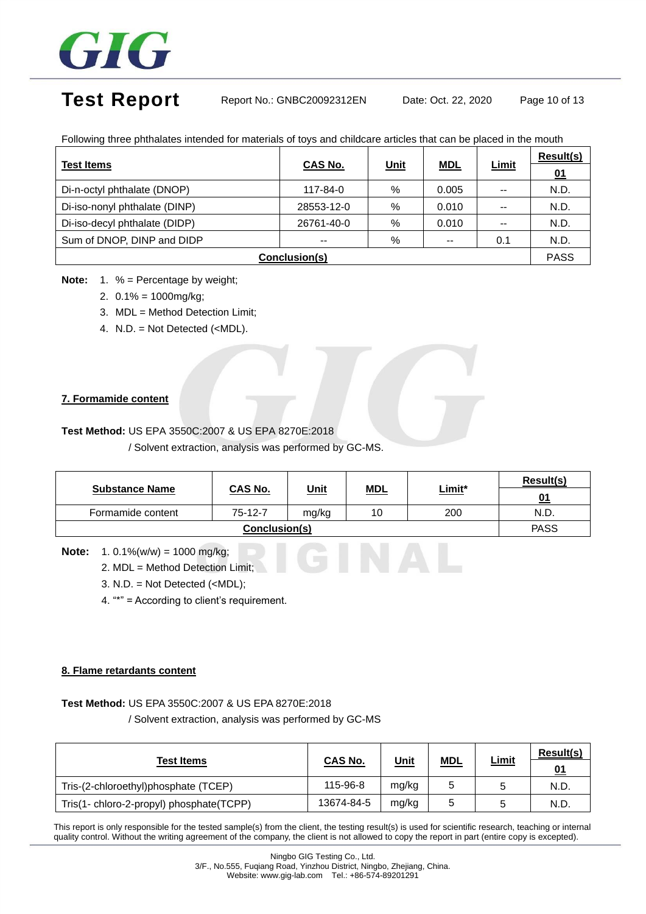

## Test Report Report No.: GNBC20092312EN Date: Oct. 22, 2020 Page 10 of 13

|                             |          |             |            |                          | Result(s) |
|-----------------------------|----------|-------------|------------|--------------------------|-----------|
| <b>Test Items</b>           | CAS No.  | <u>Unit</u> | <b>MDL</b> | <u>Limit</u>             |           |
| Di-n-octyl phthalate (DNOP) | 117-84-0 | %           | 0.005      | $\overline{\phantom{m}}$ | N.D.      |

Di-iso-nonyl phthalate (DINP) | 28553-12-0 | % | 0.010 | -- | N.D. Di-iso-decyl phthalate (DIDP) 26761-40-0 % 0.010 -- N.D. Sum of DNOP, DINP and DIDP  $\begin{array}{|c|c|c|c|c|c|c|c|c|} \hline \end{array}$  --  $\begin{array}{|c|c|c|c|c|c|c|c|c|} \hline \end{array}$  --  $\begin{array}{|c|c|c|c|c|c|c|c|c|} \hline \end{array}$  --  $\begin{array}{|c|c|c|c|c|c|c|c|c|} \hline \end{array}$  0.1 N.D.

Following three phthalates intended for materials of toys and childcare articles that can be placed in the mouth

| Conclusion(s) |  |
|---------------|--|
|               |  |

- **Note:** 1. % = Percentage by weight;
	- 2. 0.1% = 1000mg/kg;
	- 3. MDL = Method Detection Limit;
	- 4. N.D. = Not Detected (<MDL).

### **7. Formamide content**

#### **Test Method:** US EPA 3550C:2007 & US EPA 8270E:2018

/ Solvent extraction, analysis was performed by GC-MS.

|                       |                |             |            |        | Result(s) |  |
|-----------------------|----------------|-------------|------------|--------|-----------|--|
| <b>Substance Name</b> | <b>CAS No.</b> | <u>Unit</u> | <u>MDL</u> | Limit* | <u>01</u> |  |
| Formamide content     | 75-12-7        | mg/kg       | 10         | 200    | N.D.      |  |
|                       | <b>PASS</b>    |             |            |        |           |  |

GINAL

**Note:** 1. 0.1%(w/w) = 1000 mg/kg;

- 2. MDL = Method Detection Limit;
- 3. N.D. = Not Detected (<MDL);
- 4. "\*" = According to client's requirement.

#### **8. Flame retardants content**

#### **Test Method:** US EPA 3550C:2007 & US EPA 8270E:2018

/ Solvent extraction, analysis was performed by GC-MS

| <b>Test Items</b>                        | <b>CAS No.</b> | <u>Unit</u> | <u>MDL</u> | <u>Limit</u> | Result(s)<br>01 |
|------------------------------------------|----------------|-------------|------------|--------------|-----------------|
| Tris-(2-chloroethyl)phosphate (TCEP)     | 115-96-8       | mg/kg       |            |              | N.D.            |
| Tris(1- chloro-2-propyl) phosphate(TCPP) | 13674-84-5     | mg/kg       | 5          |              | N.D.            |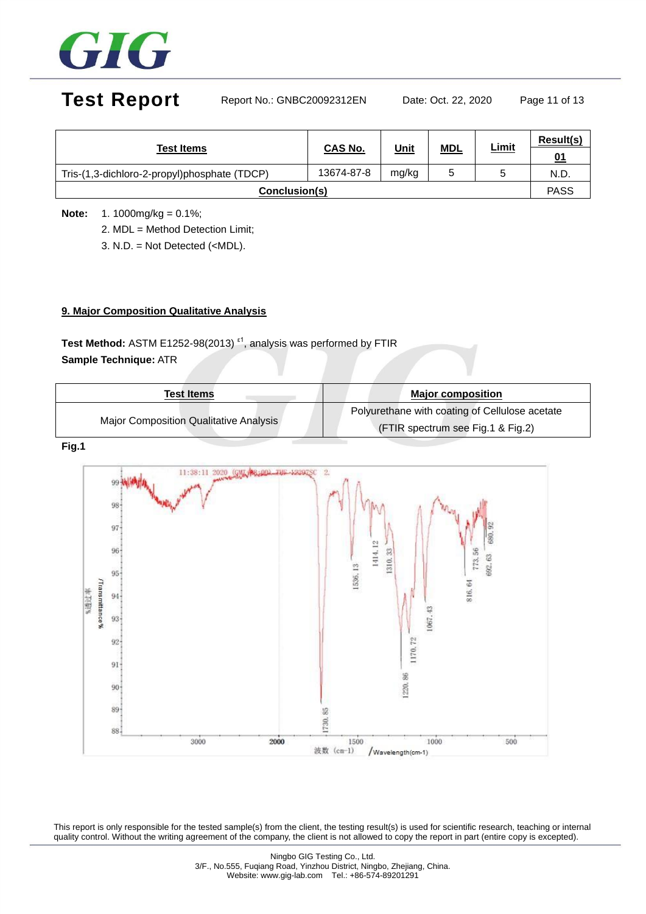

## Test Report Report No.: GNBC20092312EN Date: Oct. 22, 2020 Page 11 of 13

| <b>Test Items</b>                            | CAS No.    | <u>Unit</u> | <b>MDL</b> | <u>Limit</u> | Result(s) |
|----------------------------------------------|------------|-------------|------------|--------------|-----------|
|                                              |            |             |            |              | 01        |
| Tris-(1,3-dichloro-2-propyl)phosphate (TDCP) | 13674-87-8 | mg/kg       |            |              | N.D.      |
| Conclusion(s)                                |            |             |            |              |           |

**Note:** 1. 1000mg/kg = 0.1%;

2. MDL = Method Detection Limit;

3. N.D. = Not Detected (<MDL).

### **9. Major Composition Qualitative Analysis**

Test Method: ASTM E1252-98(2013)<sup>*ε*1</sup>, analysis was performed by FTIR **Sample Technique:** ATR

| <b>Test Items</b>                             | <b>Major composition</b>                       |
|-----------------------------------------------|------------------------------------------------|
|                                               | Polyurethane with coating of Cellulose acetate |
| <b>Major Composition Qualitative Analysis</b> | (FTIR spectrum see Fig.1 & Fig.2)              |

#### **Fig.1**

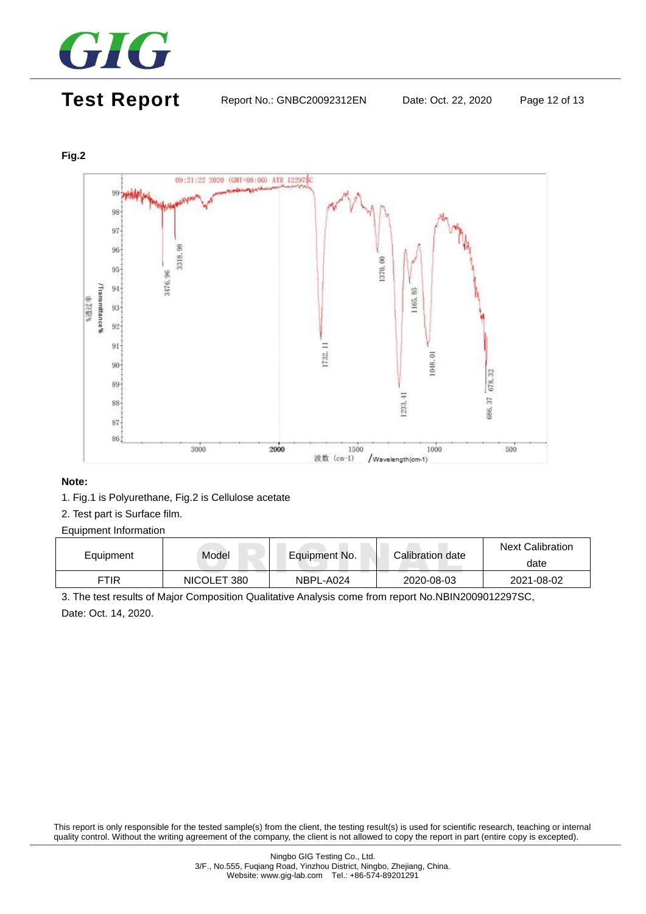

## Test Report Report No.: GNBC20092312EN Date: Oct. 22, 2020 Page 12 of 13

### **Fig.2**



#### **Note:**

- 1. Fig.1 is Polyurethane, Fig.2 is Cellulose acetate
- 2. Test part is Surface film.

#### Equipment Information

| Equipment | Model       | Equipment No. | Calibration date | <b>Next Calibration</b> |
|-----------|-------------|---------------|------------------|-------------------------|
|           |             |               |                  | date                    |
| FTIR      | NICOLET 380 | NBPL-A024     | 2020-08-03       | 2021-08-02              |

3. The test results of Major Composition Qualitative Analysis come from report No.NBIN2009012297SC, Date: Oct. 14, 2020.